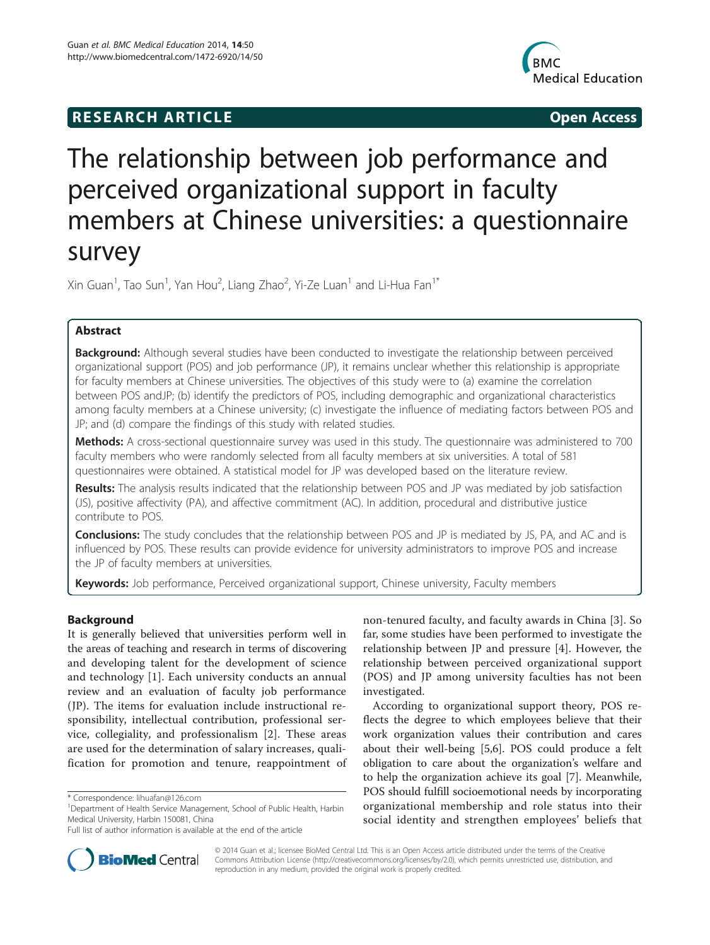## **RESEARCH ARTICLE Example 2014 CONSIDERING CONSIDERING CONSIDERING CONSIDERING CONSIDERING CONSIDERING CONSIDERING CONSIDERING CONSIDERING CONSIDERING CONSIDERING CONSIDERING CONSIDERING CONSIDERING CONSIDERING CONSIDE**



# The relationship between job performance and perceived organizational support in faculty members at Chinese universities: a questionnaire survey

Xin Guan<sup>1</sup>, Tao Sun<sup>1</sup>, Yan Hou<sup>2</sup>, Liang Zhao<sup>2</sup>, Yi-Ze Luan<sup>1</sup> and Li-Hua Fan<sup>1\*</sup>

## Abstract

**Background:** Although several studies have been conducted to investigate the relationship between perceived organizational support (POS) and job performance (JP), it remains unclear whether this relationship is appropriate for faculty members at Chinese universities. The objectives of this study were to (a) examine the correlation between POS andJP; (b) identify the predictors of POS, including demographic and organizational characteristics among faculty members at a Chinese university; (c) investigate the influence of mediating factors between POS and JP; and (d) compare the findings of this study with related studies.

Methods: A cross-sectional questionnaire survey was used in this study. The questionnaire was administered to 700 faculty members who were randomly selected from all faculty members at six universities. A total of 581 questionnaires were obtained. A statistical model for JP was developed based on the literature review.

Results: The analysis results indicated that the relationship between POS and JP was mediated by job satisfaction (JS), positive affectivity (PA), and affective commitment (AC). In addition, procedural and distributive justice contribute to POS.

Conclusions: The study concludes that the relationship between POS and JP is mediated by JS, PA, and AC and is influenced by POS. These results can provide evidence for university administrators to improve POS and increase the JP of faculty members at universities.

Keywords: Job performance, Perceived organizational support, Chinese university, Faculty members

## Background

It is generally believed that universities perform well in the areas of teaching and research in terms of discovering and developing talent for the development of science and technology [\[1](#page-8-0)]. Each university conducts an annual review and an evaluation of faculty job performance (JP). The items for evaluation include instructional responsibility, intellectual contribution, professional service, collegiality, and professionalism [[2\]](#page-8-0). These areas are used for the determination of salary increases, qualification for promotion and tenure, reappointment of non-tenured faculty, and faculty awards in China [[3\]](#page-8-0). So far, some studies have been performed to investigate the relationship between JP and pressure [[4\]](#page-8-0). However, the relationship between perceived organizational support (POS) and JP among university faculties has not been investigated.

According to organizational support theory, POS reflects the degree to which employees believe that their work organization values their contribution and cares about their well-being [\[5,6](#page-8-0)]. POS could produce a felt obligation to care about the organization's welfare and to help the organization achieve its goal [[7\]](#page-8-0). Meanwhile, POS should fulfill socioemotional needs by incorporating organizational membership and role status into their social identity and strengthen employees' beliefs that



© 2014 Guan et al.; licensee BioMed Central Ltd. This is an Open Access article distributed under the terms of the Creative Commons Attribution License [\(http://creativecommons.org/licenses/by/2.0\)](http://creativecommons.org/licenses/by/2.0), which permits unrestricted use, distribution, and reproduction in any medium, provided the original work is properly credited.

<sup>\*</sup> Correspondence: [lihuafan@126.com](mailto:lihuafan@126.com) <sup>1</sup>

<sup>&</sup>lt;sup>1</sup>Department of Health Service Management, School of Public Health, Harbin Medical University, Harbin 150081, China

Full list of author information is available at the end of the article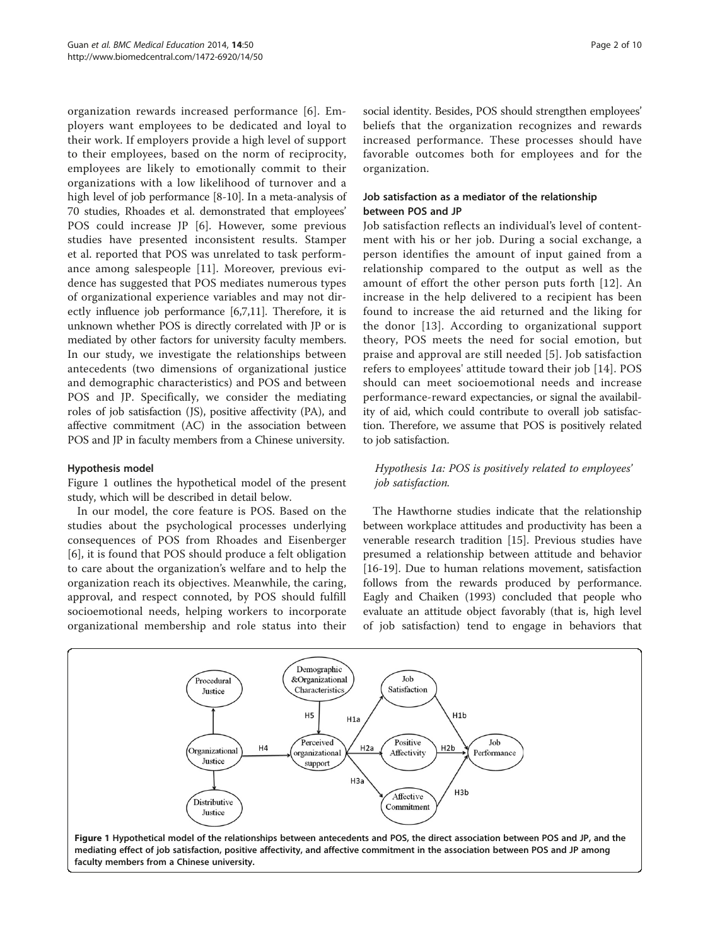organization rewards increased performance [[6\]](#page-8-0). Employers want employees to be dedicated and loyal to their work. If employers provide a high level of support to their employees, based on the norm of reciprocity, employees are likely to emotionally commit to their organizations with a low likelihood of turnover and a high level of job performance [[8-10\]](#page-8-0). In a meta-analysis of 70 studies, Rhoades et al. demonstrated that employees' POS could increase JP [[6\]](#page-8-0). However, some previous studies have presented inconsistent results. Stamper et al. reported that POS was unrelated to task performance among salespeople [[11](#page-8-0)]. Moreover, previous evidence has suggested that POS mediates numerous types of organizational experience variables and may not directly influence job performance [\[6,7,11](#page-8-0)]. Therefore, it is unknown whether POS is directly correlated with JP or is mediated by other factors for university faculty members. In our study, we investigate the relationships between antecedents (two dimensions of organizational justice and demographic characteristics) and POS and between POS and JP. Specifically, we consider the mediating roles of job satisfaction (JS), positive affectivity (PA), and affective commitment (AC) in the association between POS and JP in faculty members from a Chinese university.

#### Hypothesis model

Figure 1 outlines the hypothetical model of the present study, which will be described in detail below.

In our model, the core feature is POS. Based on the studies about the psychological processes underlying consequences of POS from Rhoades and Eisenberger [[6\]](#page-8-0), it is found that POS should produce a felt obligation to care about the organization's welfare and to help the organization reach its objectives. Meanwhile, the caring, approval, and respect connoted, by POS should fulfill socioemotional needs, helping workers to incorporate organizational membership and role status into their

social identity. Besides, POS should strengthen employees' beliefs that the organization recognizes and rewards increased performance. These processes should have favorable outcomes both for employees and for the organization.

### Job satisfaction as a mediator of the relationship between POS and JP

Job satisfaction reflects an individual's level of contentment with his or her job. During a social exchange, a person identifies the amount of input gained from a relationship compared to the output as well as the amount of effort the other person puts forth [\[12\]](#page-8-0). An increase in the help delivered to a recipient has been found to increase the aid returned and the liking for the donor [[13](#page-8-0)]. According to organizational support theory, POS meets the need for social emotion, but praise and approval are still needed [[5\]](#page-8-0). Job satisfaction refers to employees' attitude toward their job [\[14\]](#page-8-0). POS should can meet socioemotional needs and increase performance-reward expectancies, or signal the availability of aid, which could contribute to overall job satisfaction. Therefore, we assume that POS is positively related to job satisfaction.

### Hypothesis 1a: POS is positively related to employees' job satisfaction.

The Hawthorne studies indicate that the relationship between workplace attitudes and productivity has been a venerable research tradition [[15\]](#page-9-0). Previous studies have presumed a relationship between attitude and behavior [[16-19](#page-9-0)]. Due to human relations movement, satisfaction follows from the rewards produced by performance. Eagly and Chaiken (1993) concluded that people who evaluate an attitude object favorably (that is, high level of job satisfaction) tend to engage in behaviors that

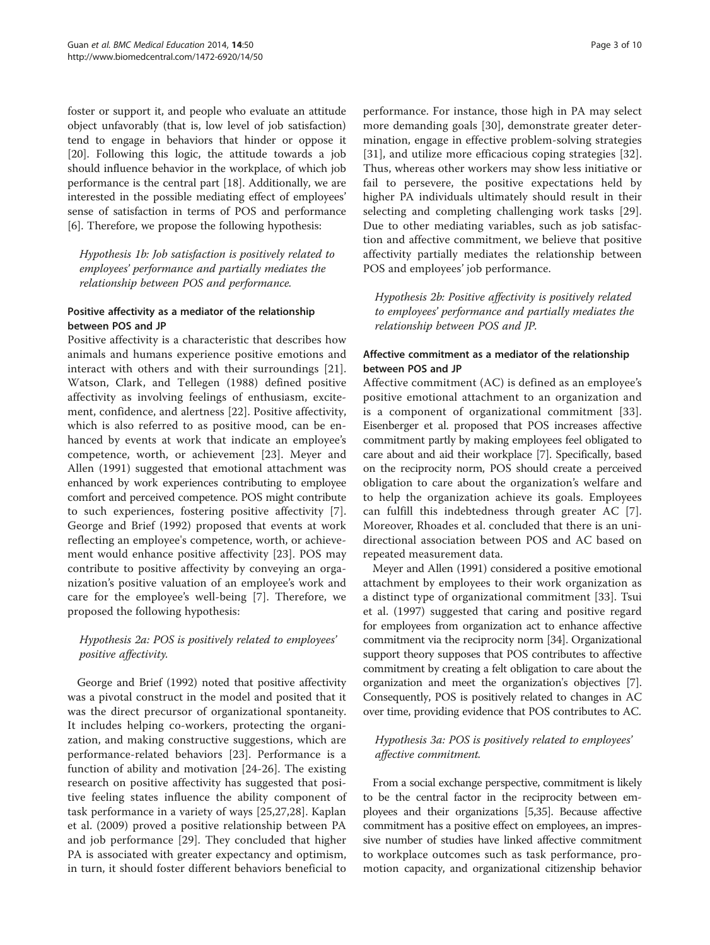foster or support it, and people who evaluate an attitude object unfavorably (that is, low level of job satisfaction) tend to engage in behaviors that hinder or oppose it [[20\]](#page-9-0). Following this logic, the attitude towards a job should influence behavior in the workplace, of which job performance is the central part [\[18](#page-9-0)]. Additionally, we are interested in the possible mediating effect of employees' sense of satisfaction in terms of POS and performance [[6\]](#page-8-0). Therefore, we propose the following hypothesis:

Hypothesis 1b: Job satisfaction is positively related to employees' performance and partially mediates the relationship between POS and performance.

#### Positive affectivity as a mediator of the relationship between POS and JP

Positive affectivity is a characteristic that describes how animals and humans experience positive emotions and interact with others and with their surroundings [\[21](#page-9-0)]. Watson, Clark, and Tellegen (1988) defined positive affectivity as involving feelings of enthusiasm, excitement, confidence, and alertness [\[22](#page-9-0)]. Positive affectivity, which is also referred to as positive mood, can be enhanced by events at work that indicate an employee's competence, worth, or achievement [\[23](#page-9-0)]. Meyer and Allen (1991) suggested that emotional attachment was enhanced by work experiences contributing to employee comfort and perceived competence. POS might contribute to such experiences, fostering positive affectivity [[7](#page-8-0)]. George and Brief (1992) proposed that events at work reflecting an employee's competence, worth, or achievement would enhance positive affectivity [\[23](#page-9-0)]. POS may contribute to positive affectivity by conveying an organization's positive valuation of an employee's work and care for the employee's well-being [\[7](#page-8-0)]. Therefore, we proposed the following hypothesis:

## Hypothesis 2a: POS is positively related to employees' positive affectivity.

George and Brief (1992) noted that positive affectivity was a pivotal construct in the model and posited that it was the direct precursor of organizational spontaneity. It includes helping co-workers, protecting the organization, and making constructive suggestions, which are performance-related behaviors [\[23](#page-9-0)]. Performance is a function of ability and motivation [[24](#page-9-0)-[26\]](#page-9-0). The existing research on positive affectivity has suggested that positive feeling states influence the ability component of task performance in a variety of ways [\[25,27,28](#page-9-0)]. Kaplan et al. (2009) proved a positive relationship between PA and job performance [[29\]](#page-9-0). They concluded that higher PA is associated with greater expectancy and optimism, in turn, it should foster different behaviors beneficial to

performance. For instance, those high in PA may select more demanding goals [\[30](#page-9-0)], demonstrate greater determination, engage in effective problem-solving strategies [[31](#page-9-0)], and utilize more efficacious coping strategies [\[32](#page-9-0)]. Thus, whereas other workers may show less initiative or fail to persevere, the positive expectations held by higher PA individuals ultimately should result in their selecting and completing challenging work tasks [[29](#page-9-0)]. Due to other mediating variables, such as job satisfaction and affective commitment, we believe that positive affectivity partially mediates the relationship between POS and employees' job performance.

Hypothesis 2b: Positive affectivity is positively related to employees' performance and partially mediates the relationship between POS and JP.

### Affective commitment as a mediator of the relationship between POS and JP

Affective commitment (AC) is defined as an employee's positive emotional attachment to an organization and is a component of organizational commitment [[33](#page-9-0)]. Eisenberger et al. proposed that POS increases affective commitment partly by making employees feel obligated to care about and aid their workplace [\[7\]](#page-8-0). Specifically, based on the reciprocity norm, POS should create a perceived obligation to care about the organization's welfare and to help the organization achieve its goals. Employees can fulfill this indebtedness through greater AC [\[7](#page-8-0)]. Moreover, Rhoades et al. concluded that there is an unidirectional association between POS and AC based on repeated measurement data.

Meyer and Allen (1991) considered a positive emotional attachment by employees to their work organization as a distinct type of organizational commitment [[33](#page-9-0)]. Tsui et al. (1997) suggested that caring and positive regard for employees from organization act to enhance affective commitment via the reciprocity norm [[34\]](#page-9-0). Organizational support theory supposes that POS contributes to affective commitment by creating a felt obligation to care about the organization and meet the organization's objectives [[7](#page-8-0)]. Consequently, POS is positively related to changes in AC over time, providing evidence that POS contributes to AC.

#### Hypothesis 3a: POS is positively related to employees' affective commitment.

From a social exchange perspective, commitment is likely to be the central factor in the reciprocity between employees and their organizations [\[5,](#page-8-0)[35](#page-9-0)]. Because affective commitment has a positive effect on employees, an impressive number of studies have linked affective commitment to workplace outcomes such as task performance, promotion capacity, and organizational citizenship behavior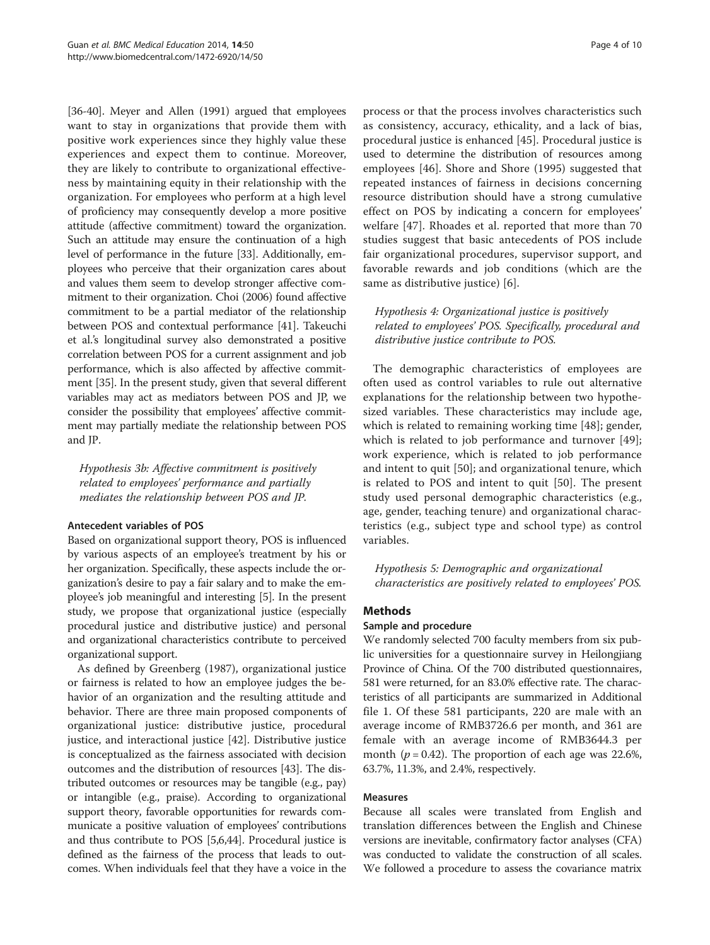[[36](#page-9-0)-[40](#page-9-0)]. Meyer and Allen (1991) argued that employees want to stay in organizations that provide them with positive work experiences since they highly value these experiences and expect them to continue. Moreover, they are likely to contribute to organizational effectiveness by maintaining equity in their relationship with the organization. For employees who perform at a high level of proficiency may consequently develop a more positive attitude (affective commitment) toward the organization. Such an attitude may ensure the continuation of a high level of performance in the future [[33](#page-9-0)]. Additionally, employees who perceive that their organization cares about and values them seem to develop stronger affective commitment to their organization. Choi (2006) found affective commitment to be a partial mediator of the relationship between POS and contextual performance [\[41\]](#page-9-0). Takeuchi et al.'s longitudinal survey also demonstrated a positive correlation between POS for a current assignment and job performance, which is also affected by affective commitment [\[35\]](#page-9-0). In the present study, given that several different variables may act as mediators between POS and JP, we consider the possibility that employees' affective commitment may partially mediate the relationship between POS and JP.

Hypothesis 3b: Affective commitment is positively related to employees' performance and partially mediates the relationship between POS and JP.

#### Antecedent variables of POS

Based on organizational support theory, POS is influenced by various aspects of an employee's treatment by his or her organization. Specifically, these aspects include the organization's desire to pay a fair salary and to make the employee's job meaningful and interesting [\[5](#page-8-0)]. In the present study, we propose that organizational justice (especially procedural justice and distributive justice) and personal and organizational characteristics contribute to perceived organizational support.

As defined by Greenberg (1987), organizational justice or fairness is related to how an employee judges the behavior of an organization and the resulting attitude and behavior. There are three main proposed components of organizational justice: distributive justice, procedural justice, and interactional justice [\[42](#page-9-0)]. Distributive justice is conceptualized as the fairness associated with decision outcomes and the distribution of resources [[43](#page-9-0)]. The distributed outcomes or resources may be tangible (e.g., pay) or intangible (e.g., praise). According to organizational support theory, favorable opportunities for rewards communicate a positive valuation of employees' contributions and thus contribute to POS [[5,6](#page-8-0)[,44\]](#page-9-0). Procedural justice is defined as the fairness of the process that leads to outcomes. When individuals feel that they have a voice in the

process or that the process involves characteristics such as consistency, accuracy, ethicality, and a lack of bias, procedural justice is enhanced [[45\]](#page-9-0). Procedural justice is used to determine the distribution of resources among employees [[46\]](#page-9-0). Shore and Shore (1995) suggested that repeated instances of fairness in decisions concerning resource distribution should have a strong cumulative effect on POS by indicating a concern for employees' welfare [\[47](#page-9-0)]. Rhoades et al. reported that more than 70 studies suggest that basic antecedents of POS include fair organizational procedures, supervisor support, and favorable rewards and job conditions (which are the same as distributive justice) [\[6](#page-8-0)].

Hypothesis 4: Organizational justice is positively related to employees' POS. Specifically, procedural and distributive justice contribute to POS.

The demographic characteristics of employees are often used as control variables to rule out alternative explanations for the relationship between two hypothesized variables. These characteristics may include age, which is related to remaining working time [\[48](#page-9-0)]; gender, which is related to job performance and turnover [[49](#page-9-0)]; work experience, which is related to job performance and intent to quit [[50\]](#page-9-0); and organizational tenure, which is related to POS and intent to quit [[50\]](#page-9-0). The present study used personal demographic characteristics (e.g., age, gender, teaching tenure) and organizational characteristics (e.g., subject type and school type) as control variables.

Hypothesis 5: Demographic and organizational characteristics are positively related to employees' POS.

## Methods

#### Sample and procedure

We randomly selected 700 faculty members from six public universities for a questionnaire survey in Heilongjiang Province of China. Of the 700 distributed questionnaires, 581 were returned, for an 83.0% effective rate. The characteristics of all participants are summarized in Additional file [1](#page-8-0). Of these 581 participants, 220 are male with an average income of RMB3726.6 per month, and 361 are female with an average income of RMB3644.3 per month ( $p = 0.42$ ). The proportion of each age was 22.6%, 63.7%, 11.3%, and 2.4%, respectively.

#### Measures

Because all scales were translated from English and translation differences between the English and Chinese versions are inevitable, confirmatory factor analyses (CFA) was conducted to validate the construction of all scales. We followed a procedure to assess the covariance matrix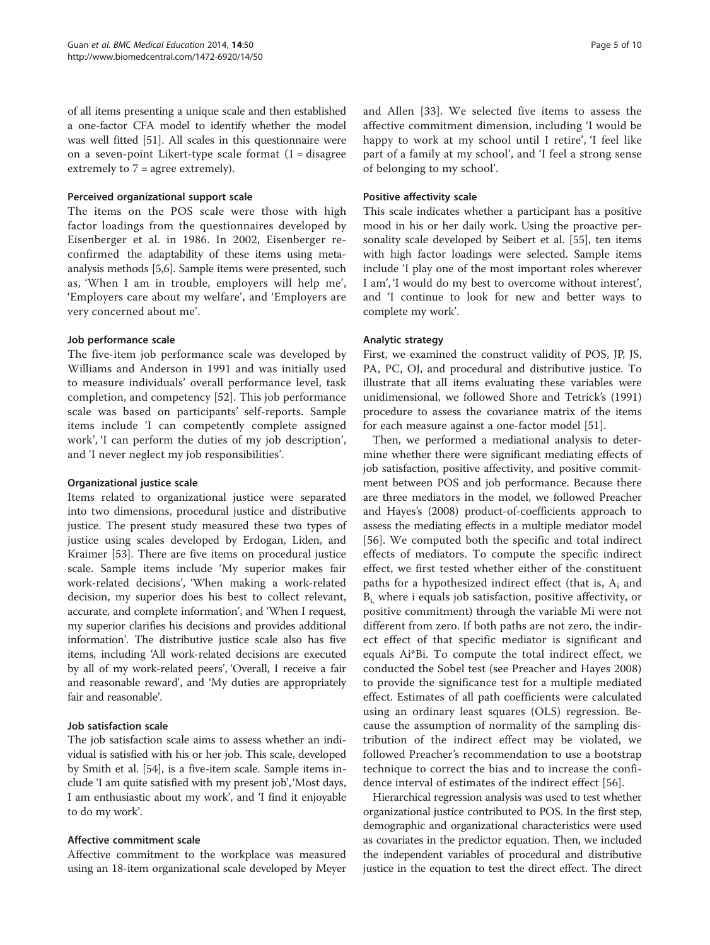of all items presenting a unique scale and then established a one-factor CFA model to identify whether the model was well fitted [[51](#page-9-0)]. All scales in this questionnaire were on a seven-point Likert-type scale format (1 = disagree extremely to  $7 =$  agree extremely).

#### Perceived organizational support scale

The items on the POS scale were those with high factor loadings from the questionnaires developed by Eisenberger et al. in 1986. In 2002, Eisenberger reconfirmed the adaptability of these items using metaanalysis methods [\[5,6](#page-8-0)]. Sample items were presented, such as, 'When I am in trouble, employers will help me', 'Employers care about my welfare', and 'Employers are very concerned about me'.

#### Job performance scale

The five-item job performance scale was developed by Williams and Anderson in 1991 and was initially used to measure individuals' overall performance level, task completion, and competency [[52\]](#page-9-0). This job performance scale was based on participants' self-reports. Sample items include 'I can competently complete assigned work', 'I can perform the duties of my job description', and 'I never neglect my job responsibilities'.

#### Organizational justice scale

Items related to organizational justice were separated into two dimensions, procedural justice and distributive justice. The present study measured these two types of justice using scales developed by Erdogan, Liden, and Kraimer [[53\]](#page-9-0). There are five items on procedural justice scale. Sample items include 'My superior makes fair work-related decisions', 'When making a work-related decision, my superior does his best to collect relevant, accurate, and complete information', and 'When I request, my superior clarifies his decisions and provides additional information'. The distributive justice scale also has five items, including 'All work-related decisions are executed by all of my work-related peers', 'Overall, I receive a fair and reasonable reward', and 'My duties are appropriately fair and reasonable'.

#### Job satisfaction scale

The job satisfaction scale aims to assess whether an individual is satisfied with his or her job. This scale, developed by Smith et al. [[54](#page-9-0)], is a five-item scale. Sample items include 'I am quite satisfied with my present job', 'Most days, I am enthusiastic about my work', and 'I find it enjoyable to do my work'.

#### Affective commitment scale

Affective commitment to the workplace was measured using an 18-item organizational scale developed by Meyer and Allen [[33](#page-9-0)]. We selected five items to assess the affective commitment dimension, including 'I would be happy to work at my school until I retire', 'I feel like part of a family at my school', and 'I feel a strong sense of belonging to my school'.

#### Positive affectivity scale

This scale indicates whether a participant has a positive mood in his or her daily work. Using the proactive personality scale developed by Seibert et al. [[55\]](#page-9-0), ten items with high factor loadings were selected. Sample items include 'I play one of the most important roles wherever I am', 'I would do my best to overcome without interest', and 'I continue to look for new and better ways to complete my work'.

#### Analytic strategy

First, we examined the construct validity of POS, JP, JS, PA, PC, OJ, and procedural and distributive justice. To illustrate that all items evaluating these variables were unidimensional, we followed Shore and Tetrick's (1991) procedure to assess the covariance matrix of the items for each measure against a one-factor model [\[51](#page-9-0)].

Then, we performed a mediational analysis to determine whether there were significant mediating effects of job satisfaction, positive affectivity, and positive commitment between POS and job performance. Because there are three mediators in the model, we followed Preacher and Hayes's (2008) product-of-coefficients approach to assess the mediating effects in a multiple mediator model [[56](#page-9-0)]. We computed both the specific and total indirect effects of mediators. To compute the specific indirect effect, we first tested whether either of the constituent paths for a hypothesized indirect effect (that is,  $A_i$  and  $B_i$ , where i equals job satisfaction, positive affectivity, or positive commitment) through the variable Mi were not different from zero. If both paths are not zero, the indirect effect of that specific mediator is significant and equals Ai\*Bi. To compute the total indirect effect, we conducted the Sobel test (see Preacher and Hayes 2008) to provide the significance test for a multiple mediated effect. Estimates of all path coefficients were calculated using an ordinary least squares (OLS) regression. Because the assumption of normality of the sampling distribution of the indirect effect may be violated, we followed Preacher's recommendation to use a bootstrap technique to correct the bias and to increase the confidence interval of estimates of the indirect effect [[56\]](#page-9-0).

Hierarchical regression analysis was used to test whether organizational justice contributed to POS. In the first step, demographic and organizational characteristics were used as covariates in the predictor equation. Then, we included the independent variables of procedural and distributive justice in the equation to test the direct effect. The direct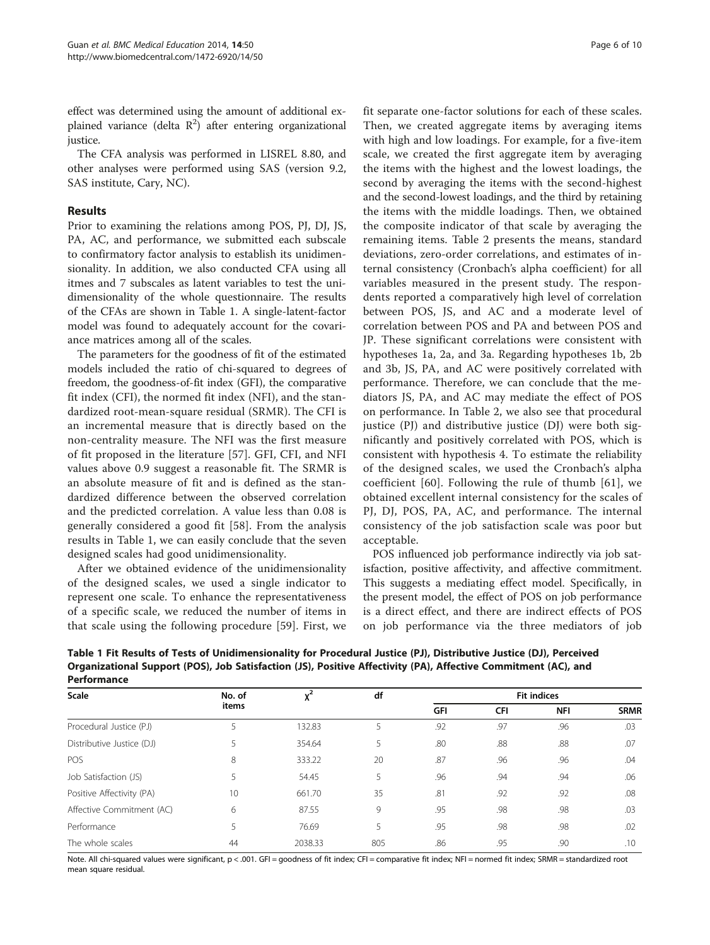effect was determined using the amount of additional explained variance (delta  $R^2$ ) after entering organizational justice.

The CFA analysis was performed in LISREL 8.80, and other analyses were performed using SAS (version 9.2, SAS institute, Cary, NC).

#### Results

Prior to examining the relations among POS, PJ, DJ, JS, PA, AC, and performance, we submitted each subscale to confirmatory factor analysis to establish its unidimensionality. In addition, we also conducted CFA using all itmes and 7 subscales as latent variables to test the unidimensionality of the whole questionnaire. The results of the CFAs are shown in Table 1. A single-latent-factor model was found to adequately account for the covariance matrices among all of the scales.

The parameters for the goodness of fit of the estimated models included the ratio of chi-squared to degrees of freedom, the goodness-of-fit index (GFI), the comparative fit index (CFI), the normed fit index (NFI), and the standardized root-mean-square residual (SRMR). The CFI is an incremental measure that is directly based on the non-centrality measure. The NFI was the first measure of fit proposed in the literature [[57\]](#page-9-0). GFI, CFI, and NFI values above 0.9 suggest a reasonable fit. The SRMR is an absolute measure of fit and is defined as the standardized difference between the observed correlation and the predicted correlation. A value less than 0.08 is generally considered a good fit [[58\]](#page-9-0). From the analysis results in Table 1, we can easily conclude that the seven designed scales had good unidimensionality.

After we obtained evidence of the unidimensionality of the designed scales, we used a single indicator to represent one scale. To enhance the representativeness of a specific scale, we reduced the number of items in that scale using the following procedure [[59](#page-9-0)]. First, we

fit separate one-factor solutions for each of these scales. Then, we created aggregate items by averaging items with high and low loadings. For example, for a five-item scale, we created the first aggregate item by averaging the items with the highest and the lowest loadings, the second by averaging the items with the second-highest and the second-lowest loadings, and the third by retaining the items with the middle loadings. Then, we obtained the composite indicator of that scale by averaging the remaining items. Table [2](#page-6-0) presents the means, standard deviations, zero-order correlations, and estimates of internal consistency (Cronbach's alpha coefficient) for all variables measured in the present study. The respondents reported a comparatively high level of correlation between POS, JS, and AC and a moderate level of correlation between POS and PA and between POS and JP. These significant correlations were consistent with hypotheses 1a, 2a, and 3a. Regarding hypotheses 1b, 2b and 3b, JS, PA, and AC were positively correlated with performance. Therefore, we can conclude that the mediators JS, PA, and AC may mediate the effect of POS on performance. In Table [2](#page-6-0), we also see that procedural justice (PJ) and distributive justice (DJ) were both significantly and positively correlated with POS, which is consistent with hypothesis 4. To estimate the reliability of the designed scales, we used the Cronbach's alpha coefficient [\[60](#page-9-0)]. Following the rule of thumb [\[61](#page-9-0)], we obtained excellent internal consistency for the scales of PJ, DJ, POS, PA, AC, and performance. The internal consistency of the job satisfaction scale was poor but acceptable.

POS influenced job performance indirectly via job satisfaction, positive affectivity, and affective commitment. This suggests a mediating effect model. Specifically, in the present model, the effect of POS on job performance is a direct effect, and there are indirect effects of POS on job performance via the three mediators of job

Table 1 Fit Results of Tests of Unidimensionality for Procedural Justice (PJ), Distributive Justice (DJ), Perceived Organizational Support (POS), Job Satisfaction (JS), Positive Affectivity (PA), Affective Commitment (AC), and Performance

| Scale                     | No. of<br>items | $\lambda$ | df  | <b>Fit indices</b> |            |            |             |
|---------------------------|-----------------|-----------|-----|--------------------|------------|------------|-------------|
|                           |                 |           |     | GFI                | <b>CFI</b> | <b>NFI</b> | <b>SRMR</b> |
| Procedural Justice (PJ)   |                 | 132.83    | 5   | .92                | .97        | .96        | .03         |
| Distributive Justice (DJ) |                 | 354.64    | 5   | .80                | .88        | .88        | .07         |
| POS                       | 8               | 333.22    | 20  | .87                | .96        | .96        | .04         |
| Job Satisfaction (JS)     | 5               | 54.45     | 5   | .96                | .94        | .94        | .06         |
| Positive Affectivity (PA) | 10              | 661.70    | 35  | .81                | .92        | .92        | .08         |
| Affective Commitment (AC) | 6               | 87.55     | 9   | .95                | .98        | .98        | .03         |
| Performance               | 5               | 76.69     | 5   | .95                | .98        | .98        | .02         |
| The whole scales          | 44              | 2038.33   | 805 | .86                | .95        | .90        | .10         |

Note. All chi-squared values were significant, p < .001. GFI = goodness of fit index; CFI = comparative fit index; NFI = normed fit index; SRMR = standardized root mean square residual.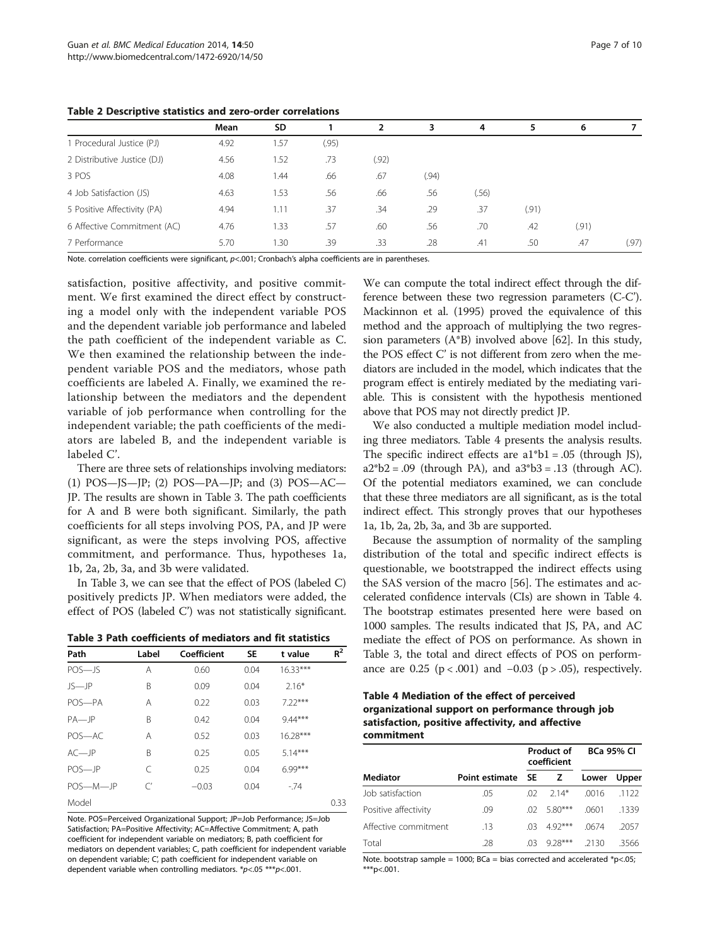|                             | Mean | SD.  |       |       | 3     | 4     | 5      | 6     |       |
|-----------------------------|------|------|-------|-------|-------|-------|--------|-------|-------|
| 1 Procedural Justice (PJ)   | 4.92 | 1.57 | (.95) |       |       |       |        |       |       |
| 2 Distributive Justice (DJ) | 4.56 | 1.52 | .73   | (.92) |       |       |        |       |       |
| 3 POS                       | 4.08 | 1.44 | .66   | .67   | (.94) |       |        |       |       |
| 4 Job Satisfaction (JS)     | 4.63 | 1.53 | .56   | .66   | .56   | (.56) |        |       |       |
| 5 Positive Affectivity (PA) | 4.94 | 1.11 | .37   | .34   | .29   | .37   | (0.91) |       |       |
| 6 Affective Commitment (AC) | 4.76 | 1.33 | .57   | .60   | .56   | .70   | .42    | (.91) |       |
| 7 Performance               | 5.70 | 1.30 | .39   | .33   | .28   | .41   | .50    | .47   | (.97) |

<span id="page-6-0"></span>Table 2 Descriptive statistics and zero-order correlations

Note. correlation coefficients were significant, p<.001; Cronbach's alpha coefficients are in parentheses.

satisfaction, positive affectivity, and positive commitment. We first examined the direct effect by constructing a model only with the independent variable POS and the dependent variable job performance and labeled the path coefficient of the independent variable as C. We then examined the relationship between the independent variable POS and the mediators, whose path coefficients are labeled A. Finally, we examined the relationship between the mediators and the dependent variable of job performance when controlling for the independent variable; the path coefficients of the mediators are labeled B, and the independent variable is labeled C'.

There are three sets of relationships involving mediators: (1) POS—JS—JP; (2) POS—PA—JP; and (3) POS—AC— JP. The results are shown in Table 3. The path coefficients for A and B were both significant. Similarly, the path coefficients for all steps involving POS, PA, and JP were significant, as were the steps involving POS, affective commitment, and performance. Thus, hypotheses 1a, 1b, 2a, 2b, 3a, and 3b were validated.

In Table 3, we can see that the effect of POS (labeled C) positively predicts JP. When mediators were added, the effect of POS (labeled C') was not statistically significant.

Table 3 Path coefficients of mediators and fit statistics

| Path         | Label          | Coefficient | <b>SE</b> | t value    | $R^2$ |
|--------------|----------------|-------------|-----------|------------|-------|
| $POS$ -JS    | Α              | 0.60        | 0.04      | $16.33***$ |       |
| JS—JP        | B              | 0.09        | 0.04      | $2.16*$    |       |
| POS-PA       | Α              | 0.22        | 0.03      | $7.22***$  |       |
| $PA$ – J $P$ | B              | 0.42        | 0.04      | $9.44***$  |       |
| POS-AC       | Α              | 0.52        | 0.03      | 16.28***   |       |
| $AC = IP$    | B              | 0.25        | 0.05      | $5.14***$  |       |
| POS-JP       | C              | 0.25        | 0.04      | $6.99***$  |       |
| $POS-M-JP$   | $\mathcal{C}'$ | $-0.03$     | 0.04      | $-74$      |       |
| Model        |                |             |           |            | 0.33  |

Note. POS=Perceived Organizational Support; JP=Job Performance; JS=Job Satisfaction; PA=Positive Affectivity; AC=Affective Commitment; A, path coefficient for independent variable on mediators; B, path coefficient for mediators on dependent variables; C, path coefficient for independent variable on dependent variable; C', path coefficient for independent variable on dependent variable when controlling mediators.  $p < 05 \cdot \cdot \cdot p < 001$ .

We can compute the total indirect effect through the difference between these two regression parameters (C-C'). Mackinnon et al. (1995) proved the equivalence of this method and the approach of multiplying the two regression parameters (A\*B) involved above [\[62\]](#page-9-0). In this study, the POS effect C' is not different from zero when the mediators are included in the model, which indicates that the program effect is entirely mediated by the mediating variable. This is consistent with the hypothesis mentioned above that POS may not directly predict JP.

We also conducted a multiple mediation model including three mediators. Table 4 presents the analysis results. The specific indirect effects are  $a1 * b1 = .05$  (through JS),  $a2^{\ast}b2 = .09$  (through PA), and  $a3^{\ast}b3 = .13$  (through AC). Of the potential mediators examined, we can conclude that these three mediators are all significant, as is the total indirect effect. This strongly proves that our hypotheses 1a, 1b, 2a, 2b, 3a, and 3b are supported.

Because the assumption of normality of the sampling distribution of the total and specific indirect effects is questionable, we bootstrapped the indirect effects using the SAS version of the macro [[56\]](#page-9-0). The estimates and accelerated confidence intervals (CIs) are shown in Table 4. The bootstrap estimates presented here were based on 1000 samples. The results indicated that JS, PA, and AC mediate the effect of POS on performance. As shown in Table 3, the total and direct effects of POS on performance are  $0.25$  (p < .001) and  $-0.03$  (p > .05), respectively.

#### Table 4 Mediation of the effect of perceived organizational support on performance through job satisfaction, positive affectivity, and affective commitment

|                      |                   | <b>Product of</b><br>coefficient |           | <b>BCa 95% CI</b> |       |
|----------------------|-------------------|----------------------------------|-----------|-------------------|-------|
| <b>Mediator</b>      | Point estimate SE |                                  | z         | Lower             | Upper |
| Job satisfaction     | .05               | .02                              | $214*$    | .0016             | .1122 |
| Positive affectivity | .09               | .02                              | $5.80***$ | .0601             | .1339 |
| Affective commitment | .13               | 03                               | $492***$  | .0674             | .2057 |
| Total                | .28               | 03                               | $9.28***$ | 2130              | .3566 |

Note. bootstrap sample = 1000; BCa = bias corrected and accelerated  $*p$ <.05;  $***p<.001$ .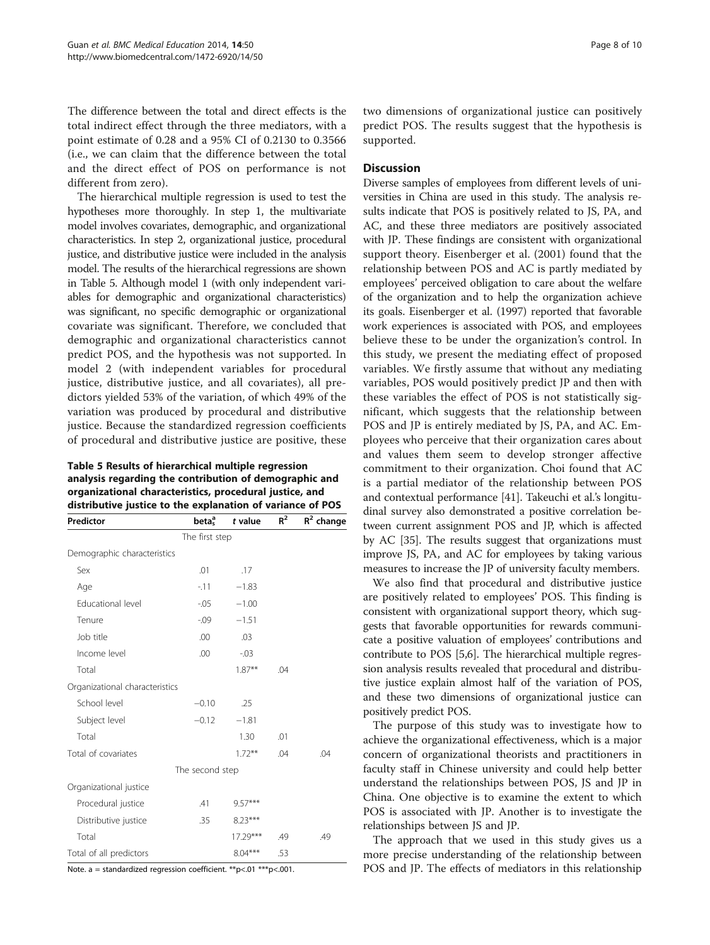The difference between the total and direct effects is the total indirect effect through the three mediators, with a point estimate of 0.28 and a 95% CI of 0.2130 to 0.3566 (i.e., we can claim that the difference between the total and the direct effect of POS on performance is not different from zero).

The hierarchical multiple regression is used to test the hypotheses more thoroughly. In step 1, the multivariate model involves covariates, demographic, and organizational characteristics. In step 2, organizational justice, procedural justice, and distributive justice were included in the analysis model. The results of the hierarchical regressions are shown in Table 5. Although model 1 (with only independent variables for demographic and organizational characteristics) was significant, no specific demographic or organizational covariate was significant. Therefore, we concluded that demographic and organizational characteristics cannot predict POS, and the hypothesis was not supported. In model 2 (with independent variables for procedural justice, distributive justice, and all covariates), all predictors yielded 53% of the variation, of which 49% of the variation was produced by procedural and distributive justice. Because the standardized regression coefficients of procedural and distributive justice are positive, these

Table 5 Results of hierarchical multiple regression analysis regarding the contribution of demographic and organizational characteristics, procedural justice, and distributive justice to the explanation of variance of POS

| Predictor                      | beta <sup>a</sup> | t value    | $R^2$ | $R^2$ change |
|--------------------------------|-------------------|------------|-------|--------------|
|                                | The first step    |            |       |              |
| Demographic characteristics    |                   |            |       |              |
| Sex                            | .01               | .17        |       |              |
| Age                            | $-11$             | $-1.83$    |       |              |
| Educational level              | $-0.05$           | $-1.00$    |       |              |
| Tenure                         | -.09              | $-1.51$    |       |              |
| Job title                      | .00               | .03        |       |              |
| Income level                   | .00               | $-0.03$    |       |              |
| Total                          |                   | $1.87**$   | .04   |              |
| Organizational characteristics |                   |            |       |              |
| School level                   | $-0.10$           | .25        |       |              |
| Subject level                  | $-0.12$           | $-1.81$    |       |              |
| Total                          |                   | 1.30       | .01   |              |
| Total of covariates            |                   | $1.72***$  | .04   | .04          |
|                                | The second step   |            |       |              |
| Organizational justice         |                   |            |       |              |
| Procedural justice             | .41               | $9.57***$  |       |              |
| Distributive justice           | .35               | $8.23***$  |       |              |
| Total                          |                   | $17.29***$ | .49   | .49          |
| Total of all predictors        |                   | $8.04***$  | .53   |              |

Note. a = standardized regression coefficient. \*\*p<.01 \*\*\*p<.001.

two dimensions of organizational justice can positively predict POS. The results suggest that the hypothesis is supported.

#### **Discussion**

Diverse samples of employees from different levels of universities in China are used in this study. The analysis results indicate that POS is positively related to JS, PA, and AC, and these three mediators are positively associated with JP. These findings are consistent with organizational support theory. Eisenberger et al. (2001) found that the relationship between POS and AC is partly mediated by employees' perceived obligation to care about the welfare of the organization and to help the organization achieve its goals. Eisenberger et al. (1997) reported that favorable work experiences is associated with POS, and employees believe these to be under the organization's control. In this study, we present the mediating effect of proposed variables. We firstly assume that without any mediating variables, POS would positively predict JP and then with these variables the effect of POS is not statistically significant, which suggests that the relationship between POS and JP is entirely mediated by JS, PA, and AC. Employees who perceive that their organization cares about and values them seem to develop stronger affective commitment to their organization. Choi found that AC is a partial mediator of the relationship between POS and contextual performance [\[41](#page-9-0)]. Takeuchi et al.'s longitudinal survey also demonstrated a positive correlation between current assignment POS and JP, which is affected by AC [[35](#page-9-0)]. The results suggest that organizations must improve JS, PA, and AC for employees by taking various measures to increase the JP of university faculty members.

We also find that procedural and distributive justice are positively related to employees' POS. This finding is consistent with organizational support theory, which suggests that favorable opportunities for rewards communicate a positive valuation of employees' contributions and contribute to POS [\[5,6\]](#page-8-0). The hierarchical multiple regression analysis results revealed that procedural and distributive justice explain almost half of the variation of POS, and these two dimensions of organizational justice can positively predict POS.

The purpose of this study was to investigate how to achieve the organizational effectiveness, which is a major concern of organizational theorists and practitioners in faculty staff in Chinese university and could help better understand the relationships between POS, JS and JP in China. One objective is to examine the extent to which POS is associated with JP. Another is to investigate the relationships between JS and JP.

The approach that we used in this study gives us a more precise understanding of the relationship between POS and JP. The effects of mediators in this relationship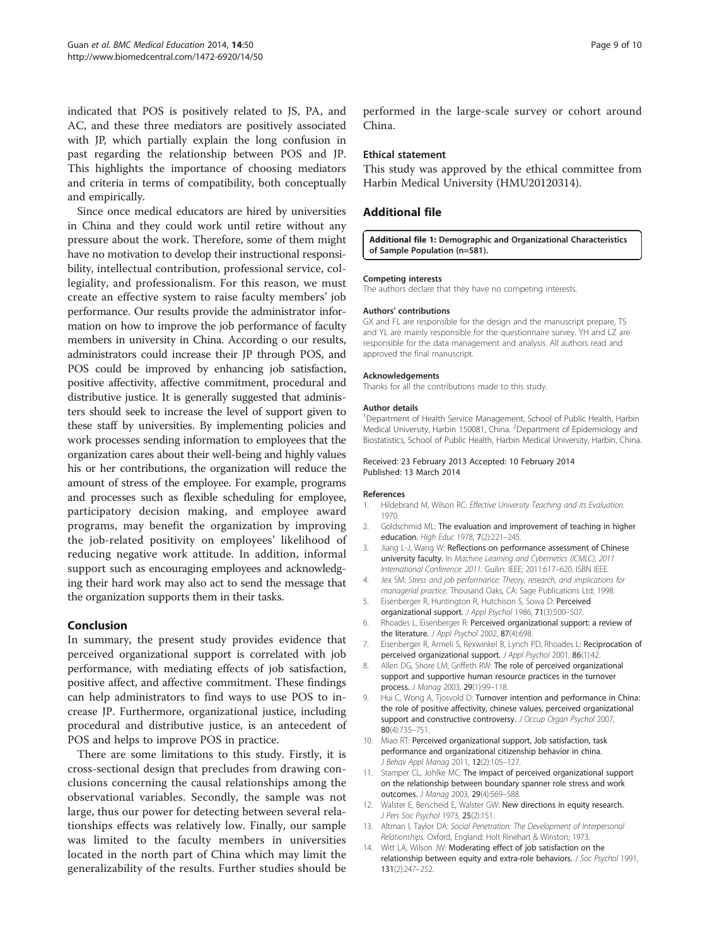<span id="page-8-0"></span>indicated that POS is positively related to JS, PA, and AC, and these three mediators are positively associated with JP, which partially explain the long confusion in past regarding the relationship between POS and JP. This highlights the importance of choosing mediators and criteria in terms of compatibility, both conceptually and empirically.

Since once medical educators are hired by universities in China and they could work until retire without any pressure about the work. Therefore, some of them might have no motivation to develop their instructional responsibility, intellectual contribution, professional service, collegiality, and professionalism. For this reason, we must create an effective system to raise faculty members' job performance. Our results provide the administrator information on how to improve the job performance of faculty members in university in China. According o our results, administrators could increase their JP through POS, and POS could be improved by enhancing job satisfaction, positive affectivity, affective commitment, procedural and distributive justice. It is generally suggested that administers should seek to increase the level of support given to these staff by universities. By implementing policies and work processes sending information to employees that the organization cares about their well-being and highly values his or her contributions, the organization will reduce the amount of stress of the employee. For example, programs and processes such as flexible scheduling for employee, participatory decision making, and employee award programs, may benefit the organization by improving the job-related positivity on employees' likelihood of reducing negative work attitude. In addition, informal support such as encouraging employees and acknowledging their hard work may also act to send the message that the organization supports them in their tasks.

#### Conclusion

In summary, the present study provides evidence that perceived organizational support is correlated with job performance, with mediating effects of job satisfaction, positive affect, and affective commitment. These findings can help administrators to find ways to use POS to increase JP. Furthermore, organizational justice, including procedural and distributive justice, is an antecedent of POS and helps to improve POS in practice.

There are some limitations to this study. Firstly, it is cross-sectional design that precludes from drawing conclusions concerning the causal relationships among the observational variables. Secondly, the sample was not large, thus our power for detecting between several relationships effects was relatively low. Finally, our sample was limited to the faculty members in universities located in the north part of China which may limit the generalizability of the results. Further studies should be performed in the large-scale survey or cohort around China.

#### Ethical statement

This study was approved by the ethical committee from Harbin Medical University (HMU20120314).

#### Additional file

[Additional file 1:](http://www.biomedcentral.com/content/supplementary/1472-6920-14-50-S1.doc) Demographic and Organizational Characteristics of Sample Population (n=581).

#### Competing interests

The authors declare that they have no competing interests.

#### Authors' contributions

GX and FL are responsible for the design and the manuscript prepare, TS and YL are mainly responsible for the questionnaire survey. YH and LZ are responsible for the data management and analysis. All authors read and approved the final manuscript.

#### Acknowledgements

Thanks for all the contributions made to this study.

#### Author details

<sup>1</sup>Department of Health Service Management, School of Public Health, Harbin Medical University, Harbin 150081, China. <sup>2</sup>Department of Epidemiology and Biostatistics, School of Public Health, Harbin Medical University, Harbin, China.

Received: 23 February 2013 Accepted: 10 February 2014 Published: 13 March 2014

#### References

- 1. Hildebrand M, Wilson RC: Effective University Teaching and its Evaluation. 1970.
- 2. Goldschmid ML: The evaluation and improvement of teaching in higher education. High Educ 1978, 7(2):221–245.
- 3. Jiang L-J, Wang W: Reflections on performance assessment of Chinese university faculty. In Machine Learning and Cybernetics (ICMLC), 2011 International Conference: 2011. Guilin: IEEE; 2011:617–620. ISBN IEEE.
- 4. Jex SM: Stress and job performance: Theory, research, and implications for managerial practice. Thousand Oaks, CA: Sage Publications Ltd; 1998.
- 5. Eisenberger R, Huntington R, Hutchison S, Sowa D: Perceived organizational support. J Appl Psychol 1986, 71(3):500–507.
- 6. Rhoades L, Eisenberger R: Perceived organizational support: a review of the literature. J Appl Psychol 2002, 87(4):698.
- 7. Eisenberger R, Armeli S, Rexwinkel B, Lynch PD, Rhoades L: Reciprocation of perceived organizational support. J Appl Psychol 2001, 86(1):42.
- 8. Allen DG, Shore LM, Griffeth RW: The role of perceived organizational support and supportive human resource practices in the turnover process. J Manag 2003, 29(1):99–118.
- Hui C, Wong A, Tjosvold D: Turnover intention and performance in China: the role of positive affectivity, chinese values, perceived organizational support and constructive controversy. J Occup Organ Psychol 2007, 80(4):735–751.
- 10. Miao RT: Perceived organizational support, Job satisfaction, task performance and organizational citizenship behavior in china. J Behav Appl Manag 2011, 12(2):105–127.
- 11. Stamper CL, Johlke MC: The impact of perceived organizational support on the relationship between boundary spanner role stress and work outcomes. J Manag 2003, 29(4):569–588.
- 12. Walster E, Berscheid E, Walster GW: New directions in equity research. J Pers Soc Psychol 1973, 25(2):151.
- 13. Altman I, Taylor DA: Social Penetration: The Development of Interpersonal Relationships. Oxford, England: Holt Rinehart & Winston; 1973. 14. Witt LA, Wilson JW: Moderating effect of job satisfaction on the
- relationship between equity and extra-role behaviors. J Soc Psychol 1991, 131(2):247–252.